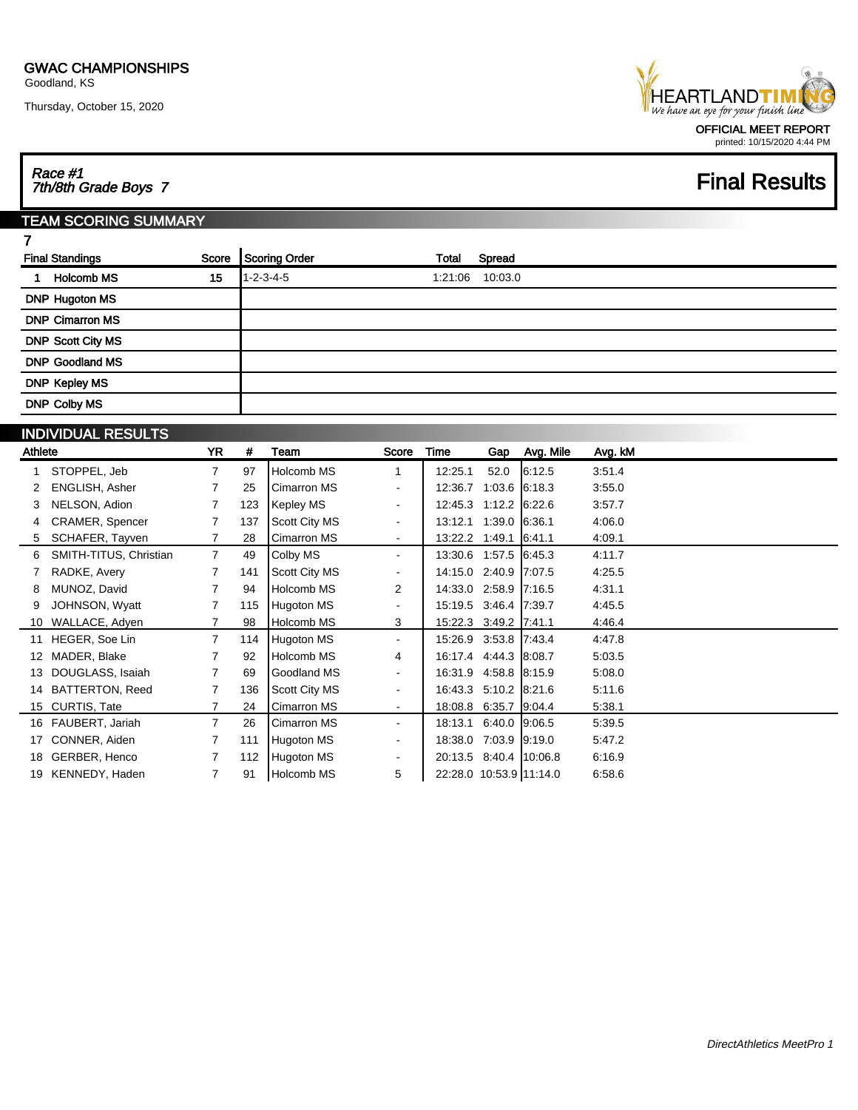Thursday, October 15, 2020



## Race #1 7th/8th Grade Boys 7 Final Results

### TEAM SCORING SUMMARY

| S<br>I |
|--------|
| _      |

| 15 | $1 - 2 - 3 - 4 - 5$ | 1:21:06 | 10:03.0 |
|----|---------------------|---------|---------|
|    |                     |         |         |
|    |                     |         |         |
|    |                     |         |         |
|    |                     |         |         |
|    |                     |         |         |
|    |                     |         |         |
|    |                     |         |         |
|    |                     |         |         |

| <b>INDIVIDUAL RESULTS</b> |  |
|---------------------------|--|
|---------------------------|--|

| Athlete |                        | YR             | #   | Team                 | Score                    | Time                    |               | Gap Avg. Mile | Avg. kM |
|---------|------------------------|----------------|-----|----------------------|--------------------------|-------------------------|---------------|---------------|---------|
|         | STOPPEL, Jeb           | $\overline{7}$ | 97  | Holcomb MS           | 1                        | 12:25.1                 | 52.0          | 6:12.5        | 3:51.4  |
|         | <b>ENGLISH, Asher</b>  | 7              | 25  | <b>Cimarron MS</b>   | $\overline{\phantom{a}}$ | 12:36.7                 | 1:03.6        | 6:18.3        | 3:55.0  |
|         | NELSON, Adion          |                | 123 | Kepley MS            | $\blacksquare$           | 12:45.3 1:12.2 6:22.6   |               |               | 3:57.7  |
|         | CRAMER, Spencer        |                | 137 | <b>Scott City MS</b> |                          | 13:12.1                 | 1:39.0 6:36.1 |               | 4:06.0  |
| 5       | SCHAFER, Tayven        |                | 28  | Cimarron MS          | $\blacksquare$           | 13:22.2 1:49.1 6:41.1   |               |               | 4:09.1  |
| 6       | SMITH-TITUS, Christian | $\overline{7}$ | 49  | Colby MS             | ٠                        | 13:30.6 1:57.5 6:45.3   |               |               | 4:11.7  |
|         | RADKE, Avery           | 7              | 141 | Scott City MS        | $\overline{\phantom{a}}$ | 14:15.0 2:40.9 7:07.5   |               |               | 4.25.5  |
| 8       | MUNOZ, David           |                | 94  | Holcomb MS           | 2                        | 14:33.0 2:58.9 7:16.5   |               |               | 4:31.1  |
|         | JOHNSON, Wyatt         | $\overline{7}$ | 115 | Hugoton MS           | $\overline{\phantom{a}}$ | 15:19.5 3:46.4 7:39.7   |               |               | 4:45.5  |
| 10      | WALLACE, Adven         |                | 98  | Holcomb MS           | 3                        | 15:22.3 3:49.2 7:41.1   |               |               | 4.46.4  |
|         | 11 HEGER, Soe Lin      | $\overline{7}$ | 114 | Hugoton MS           | $\blacksquare$           | 15:26.9 3:53.8 7:43.4   |               |               | 4.47.8  |
|         | MADER, Blake           |                | 92  | Holcomb MS           | 4                        | 16:17.4 4:44.3 8:08.7   |               |               | 5:03.5  |
| 13      | DOUGLASS, Isaiah       | $\overline{7}$ | 69  | Goodland MS          | $\overline{\phantom{a}}$ | 16:31.9 4:58.8 8:15.9   |               |               | 5:08.0  |
| 14      | <b>BATTERTON, Reed</b> |                | 136 | <b>Scott City MS</b> | $\blacksquare$           | 16:43.3 5:10.2 8:21.6   |               |               | 5.11.6  |
|         | 15 CURTIS, Tate        |                | 24  | <b>Cimarron MS</b>   | $\overline{\phantom{a}}$ | 18:08.8 6:35.7 9:04.4   |               |               | 5:38.1  |
|         | 16 FAUBERT, Jariah     | $\overline{7}$ | 26  | <b>Cimarron MS</b>   | $\blacksquare$           | 18:13.1                 | 6:40.0 9:06.5 |               | 5:39.5  |
| 17      | CONNER, Aiden          |                | 111 | Hugoton MS           | $\blacksquare$           | 18:38.0 7:03.9 9:19.0   |               |               | 5:47.2  |
| 18      | GERBER, Henco          |                | 112 | Hugoton MS           | $\overline{\phantom{a}}$ | 20:13.5 8:40.4 10:06.8  |               |               | 6:16.9  |
|         | KENNEDY, Haden         | 7              | 91  | Holcomb MS           | 5                        | 22:28.0 10:53.9 11:14.0 |               |               | 6.58.6  |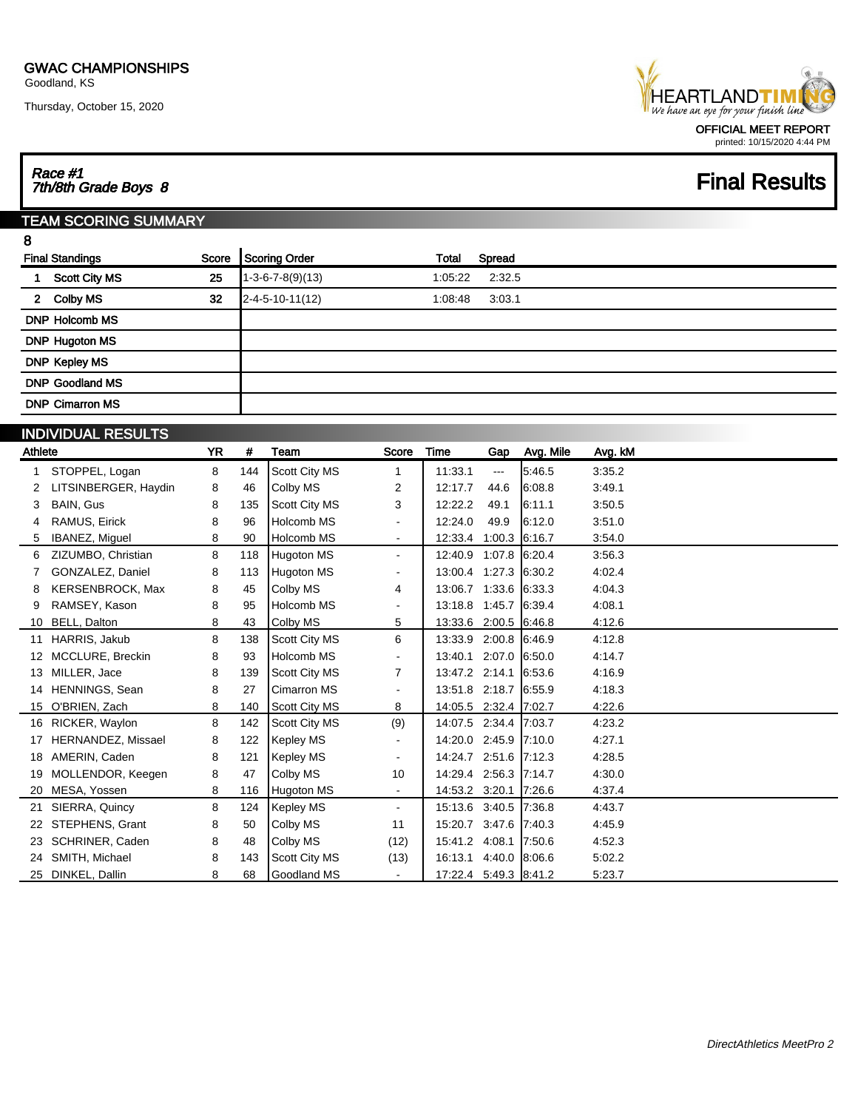Thursday, October 15, 2020



# Race #1 7th/8th Grade Boys 8 Final Results

#### TEAM SCORING SUMMARY

| ï<br>۰<br>s,<br>I |  |
|-------------------|--|
| ę<br>٧            |  |

|             | <b>Final Standings</b><br>Score | Scoring Order              | Total   | Spread |  |
|-------------|---------------------------------|----------------------------|---------|--------|--|
|             | 25<br><b>Scott City MS</b>      | $1 - 3 - 6 - 7 - 8(9)(13)$ | 1:05:22 | 2:32.5 |  |
| $2^{\circ}$ | 32<br>Colby MS                  | $2 - 4 - 5 - 10 - 11(12)$  | 1:08:48 | 3:03.1 |  |
|             | <b>DNP Holcomb MS</b>           |                            |         |        |  |
|             | <b>DNP Hugoton MS</b>           |                            |         |        |  |
|             | <b>DNP Kepley MS</b>            |                            |         |        |  |
|             | <b>DNP Goodland MS</b>          |                            |         |        |  |
|             | <b>DNP Cimarron MS</b>          |                            |         |        |  |
|             | INDIVIDI IAI DECLII TO          |                            |         |        |  |

|         | <b>INDIVIDUAL RESULIS</b> |           |     |                      |                          |                       |        |           |         |
|---------|---------------------------|-----------|-----|----------------------|--------------------------|-----------------------|--------|-----------|---------|
| Athlete |                           | <b>YR</b> | #   | Team                 | <b>Score</b>             | <b>Time</b>           | Gap    | Avg. Mile | Avg. kM |
|         | STOPPEL, Logan            | 8         | 144 | <b>Scott City MS</b> | 1                        | 11:33.1               | ---    | 5.46.5    | 3:35.2  |
|         | LITSINBERGER, Haydin      | 8         | 46  | Colby MS             | 2                        | 12:17.7               | 44.6   | 6:08.8    | 3:49.1  |
| 3       | <b>BAIN, Gus</b>          | 8         | 135 | Scott City MS        | 3                        | 12:22.2               | 49.1   | 6:11.1    | 3:50.5  |
| 4       | RAMUS, Eirick             | 8         | 96  | Holcomb MS           | $\blacksquare$           | 12:24.0               | 49.9   | 6:12.0    | 3:51.0  |
| 5       | IBANEZ, Miquel            | 8         | 90  | Holcomb MS           | $\blacksquare$           | 12:33.4               | 1:00.3 | 6:16.7    | 3:54.0  |
| 6       | ZIZUMBO, Christian        | 8         | 118 | Hugoton MS           | $\blacksquare$           | 12:40.9               | 1:07.8 | 6.20.4    | 3:56.3  |
| 7       | GONZALEZ, Daniel          | 8         | 113 | <b>Hugoton MS</b>    | $\blacksquare$           | 13:00.4               | 1:27.3 | 6:30.2    | 4:02.4  |
| 8       | <b>KERSENBROCK, Max</b>   | 8         | 45  | Colby MS             | 4                        | 13:06.7               | 1:33.6 | 6.33.3    | 4:04.3  |
| 9       | RAMSEY, Kason             | 8         | 95  | Holcomb MS           | $\overline{\phantom{a}}$ | 13:18.8 1:45.7        |        | 6:39.4    | 4:08.1  |
|         | BELL, Dalton              | 8         | 43  | Colby MS             | 5                        | 13:33.6 2:00.5 6:46.8 |        |           | 4:12.6  |
| 11      | HARRIS, Jakub             | 8         | 138 | Scott City MS        | 6                        | 13:33.9 2:00.8        |        | 6:46.9    | 4:12.8  |
|         | MCCLURE, Breckin          | 8         | 93  | Holcomb MS           | $\blacksquare$           | 13:40.1               | 2:07.0 | 6.50.0    | 4:14.7  |
| 13      | MILLER, Jace              | 8         | 139 | <b>Scott City MS</b> | 7                        | 13:47.2 2:14.1        |        | 6:53.6    | 4:16.9  |
| 14      | HENNINGS, Sean            | 8         | 27  | <b>Cimarron MS</b>   | $\blacksquare$           | 13:51.8 2:18.7        |        | 6:55.9    | 4:18.3  |
| 15      | O'BRIEN, Zach             | 8         | 140 | <b>Scott City MS</b> | 8                        | 14:05.5 2:32.4 7:02.7 |        |           | 4:22.6  |
| 16      | RICKER, Waylon            | 8         | 142 | Scott City MS        | (9)                      | 14:07.5 2:34.4        |        | 7:03.7    | 4:23.2  |
| 17      | HERNANDEZ, Missael        | 8         | 122 | Kepley MS            | $\blacksquare$           | 14:20.0 2:45.9 7:10.0 |        |           | 4:27.1  |
| 18      | AMERIN, Caden             | 8         | 121 | Kepley MS            | ٠                        | 14:24.7               | 2:51.6 | 17:12.3   | 4.28.5  |
| 19      | MOLLENDOR, Keegen         | 8         | 47  | Colby MS             | 10                       | 14:29.4 2:56.3        |        | 7:14.7    | 4.30.0  |
| 20      | MESA, Yossen              | 8         | 116 | <b>Hugoton MS</b>    | $\blacksquare$           | 14:53.2 3:20.1 7:26.6 |        |           | 4:37.4  |
| 21      | SIERRA, Quincy            | 8         | 124 | Kepley MS            | $\blacksquare$           | 15:13.6 3:40.5        |        | 7:36.8    | 4.43.7  |
| 22      | STEPHENS, Grant           | 8         | 50  | Colby MS             | 11                       | 15:20.7 3:47.6 7:40.3 |        |           | 4.45.9  |
| 23      | SCHRINER, Caden           | 8         | 48  | Colby MS             | (12)                     | 15:41.2               | 4:08.1 | 7:50.6    | 4:52.3  |
| 24      | SMITH, Michael            | 8         | 143 | <b>Scott City MS</b> | (13)                     | 16:13.1               | 4:40.0 | 8:06.6    | 5:02.2  |
|         | 25 DINKEL, Dallin         | 8         | 68  | <b>Goodland MS</b>   | $\blacksquare$           | 17:22.4 5:49.3 8:41.2 |        |           | 5.23.7  |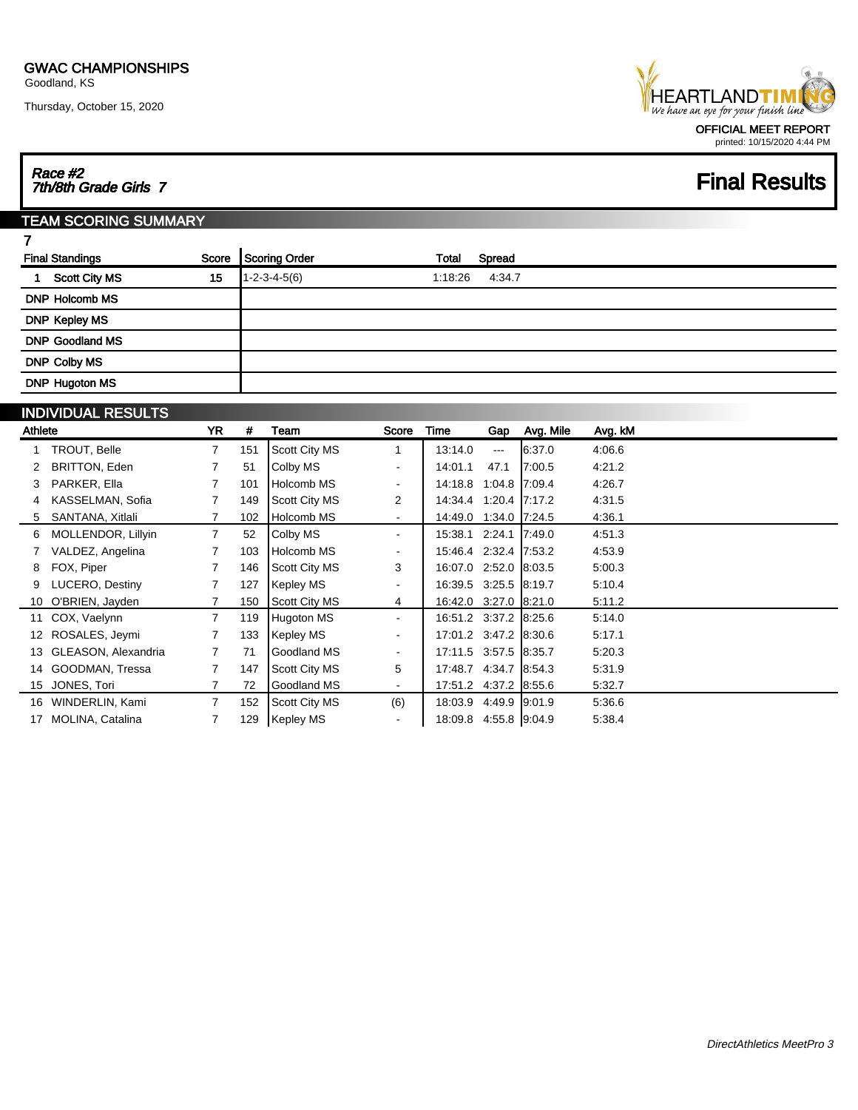Thursday, October 15, 2020



## Race #2 7th/8th Grade Girls 7 Final Results

#### TEAM SCORING SUMMARY

| × |
|---|
| - |

| <b>Final Standings</b> |    | Score Scoring Order    | Total   | Spread |
|------------------------|----|------------------------|---------|--------|
| <b>Scott City MS</b>   | 15 | $1 - 2 - 3 - 4 - 5(6)$ | 1:18:26 | 4:34.7 |
| <b>DNP Holcomb MS</b>  |    |                        |         |        |
| <b>DNP Kepley MS</b>   |    |                        |         |        |
| <b>DNP Goodland MS</b> |    |                        |         |        |
| DNP Colby MS           |    |                        |         |        |
| <b>DNP Hugoton MS</b>  |    |                        |         |        |

#### INDIVIDUAL RESULTS

| Athlete |                     | <b>YR</b>      | #   | Team                 | Score                    | Time                  | Gap           | Avg. Mile | Avg. kM |
|---------|---------------------|----------------|-----|----------------------|--------------------------|-----------------------|---------------|-----------|---------|
|         | TROUT, Belle        | $\mathbf{7}$   | 151 | Scott City MS        | 1                        | 13:14.0               | $\cdots$      | 6:37.0    | 4:06.6  |
|         | BRITTON, Eden       | $\overline{7}$ | 51  | Colby MS             | $\overline{\phantom{a}}$ | 14:01.1               | 47.1          | 17:00.5   | 4:21.2  |
|         | PARKER, Ella        | $\overline{7}$ | 101 | Holcomb MS           | $\sim$                   | 14:18.8               | 1:04.8 7:09.4 |           | 4:26.7  |
|         | KASSELMAN, Sofia    | 7              | 149 | Scott City MS        | 2                        | 14:34.4 1:20.4 7:17.2 |               |           | 4:31.5  |
| 5       | SANTANA, Xitlali    |                | 102 | Holcomb MS           | $\sim$                   | 14:49.0 1:34.0 7:24.5 |               |           | 4:36.1  |
| 6       | MOLLENDOR, Lillyin  | $\overline{7}$ | 52  | Colby MS             | $\sim$                   | 15:38.1 2:24.1 7:49.0 |               |           | 4:51.3  |
|         | VALDEZ, Angelina    |                | 103 | Holcomb MS           | $\sim$                   | 15:46.4 2:32.4 7:53.2 |               |           | 4.53.9  |
| 8       | FOX, Piper          | $\mathbf{7}$   | 146 | Scott City MS        | 3                        | 16:07.0 2:52.0 8:03.5 |               |           | 5.00.3  |
|         | LUCERO, Destiny     |                | 127 | Kepley MS            | $\overline{\phantom{a}}$ | 16:39.5 3:25.5 8:19.7 |               |           | 5.10.4  |
|         | 10 O'BRIEN, Jayden  |                | 150 | Scott City MS        | 4                        | 16:42.0 3:27.0 8:21.0 |               |           | 5.11.2  |
|         | 11 COX, Vaelynn     | $\overline{7}$ | 119 | Hugoton MS           | $\sim$                   | 16:51.2 3:37.2 8:25.6 |               |           | 5.14.0  |
|         | 12 ROSALES, Jeymi   |                | 133 | Kepley MS            | $\blacksquare$           | 17:01.2 3:47.2 8:30.6 |               |           | 5:17.1  |
| 13      | GLEASON, Alexandria | $\mathbf{7}$   | 71  | Goodland MS          | $\overline{\phantom{a}}$ | 17:11.5 3:57.5 8:35.7 |               |           | 5.20.3  |
|         | 14 GOODMAN, Tressa  | $\overline{7}$ | 147 | Scott City MS        | 5                        | 17:48.7 4:34.7 8:54.3 |               |           | 5.31.9  |
|         | 15 JONES, Tori      |                | 72  | Goodland MS          | $\sim$                   | 17:51.2 4:37.2 8:55.6 |               |           | 5:32.7  |
|         | 16 WINDERLIN, Kami  | $\overline{7}$ | 152 | <b>Scott City MS</b> | (6)                      | 18:03.9 4:49.9 9:01.9 |               |           | 5.36.6  |
| 17      | MOLINA, Catalina    |                | 129 | <b>Kepley MS</b>     | $\sim$                   | 18:09.8 4:55.8 9:04.9 |               |           | 5.38.4  |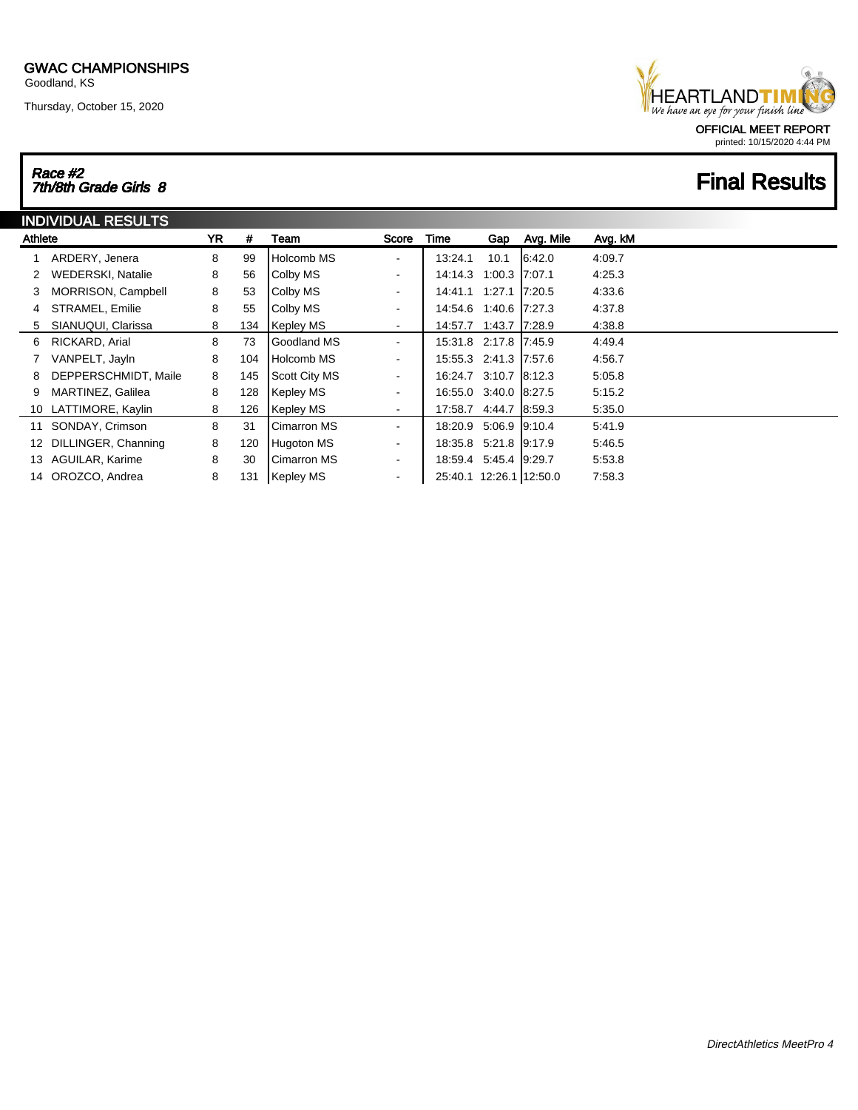Thursday, October 15, 2020

### **HEARTLANDTIM** We have an eye for your finish line OFFICIAL MEET REPORT printed: 10/15/2020 4:44 PM

# Race #2 7th/8th Grade Girls 8 Final Results

| <b>INDIVIDUAL RESULTS</b> |                        |           |     |                      |                              |                         |                 |           |         |  |
|---------------------------|------------------------|-----------|-----|----------------------|------------------------------|-------------------------|-----------------|-----------|---------|--|
| Athlete                   |                        | <b>YR</b> | #   | Team                 | Score                        | Time                    | Gap             | Avg. Mile | Avg. kM |  |
|                           | ARDERY, Jenera         | 8         | 99  | Holcomb MS           | ۰                            | 13:24.1                 | 10.1            | 6:42.0    | 4:09.7  |  |
| 2                         | WEDERSKI, Natalie      | 8         | 56  | Colby MS             | $\qquad \qquad \blacksquare$ | 14:14.3                 | 1:00.3 7:07.1   |           | 4:25.3  |  |
| 3                         | MORRISON, Campbell     | 8         | 53  | Colby MS             | $\sim$                       | 14:41.1 1:27.1 7:20.5   |                 |           | 4.33.6  |  |
| 4                         | STRAMEL, Emilie        | 8         | 55  | Colby MS             | $\sim$                       | 14:54.6                 | 1:40.6 7:27.3   |           | 4.37.8  |  |
| 5                         | SIANUQUI, Clarissa     | 8         | 134 | Kepley MS            | $\overline{\phantom{a}}$     | 14:57.7                 | 1:43.7          | 17:28.9   | 4:38.8  |  |
| 6                         | RICKARD, Arial         | 8         | 73  | Goodland MS          | $\overline{\phantom{a}}$     | 15:31.8 2:17.8 7:45.9   |                 |           | 4:49.4  |  |
|                           | VANPELT, Jayln         | 8         | 104 | Holcomb MS           | $\sim$                       | 15:55.3 2:41.3 7:57.6   |                 |           | 4:56.7  |  |
| 8                         | DEPPERSCHMIDT, Maile   | 8         | 145 | <b>Scott City MS</b> | $\overline{\phantom{a}}$     | 16:24.7 3:10.7 8:12.3   |                 |           | 5:05.8  |  |
| 9                         | MARTINEZ, Galilea      | 8         | 128 | Kepley MS            | $\overline{\phantom{a}}$     | 16:55.0 3:40.0 8:27.5   |                 |           | 5:15.2  |  |
|                           | 10 LATTIMORE, Kaylin   | 8         | 126 | <b>Kepley MS</b>     | $\sim$                       | 17:58.7                 | 4:44.7 8:59.3   |           | 5:35.0  |  |
| 11                        | SONDAY, Crimson        | 8         | 31  | Cimarron MS          | $\overline{\phantom{a}}$     | 18:20.9                 | $5.06.9$ 9.10.4 |           | 5:41.9  |  |
|                           | 12 DILLINGER, Channing | 8         | 120 | Hugoton MS           | $\overline{\phantom{a}}$     | 18:35.8 5:21.8 9:17.9   |                 |           | 5:46.5  |  |
|                           | 13 AGUILAR, Karime     | 8         | 30  | Cimarron MS          | $\sim$                       | 18:59.4 5:45.4 9:29.7   |                 |           | 5:53.8  |  |
|                           | 14 OROZCO, Andrea      | 8         | 131 | Kepley MS            | $\blacksquare$               | 25:40.1 12:26.1 12:50.0 |                 |           | 7:58.3  |  |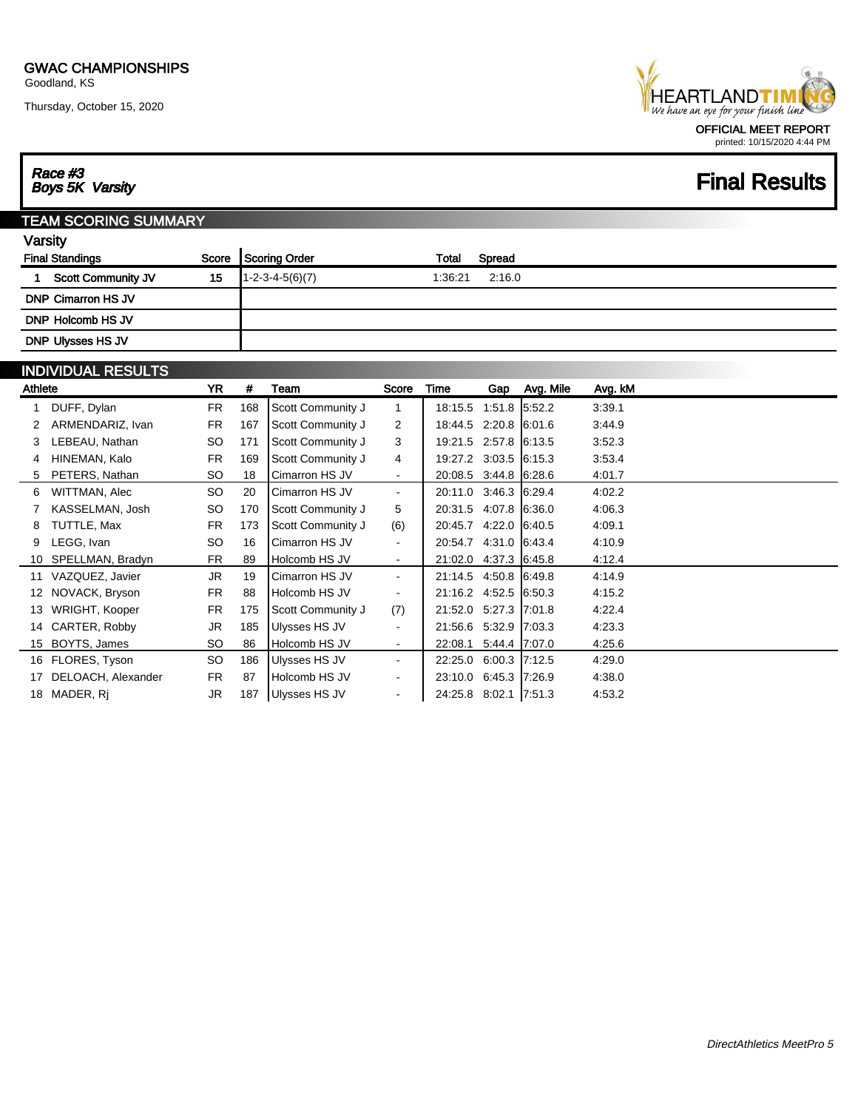Thursday, October 15, 2020

Race #3<br>Boys 5K Varsity



printed: 10/15/2020 4:44 PM

### **Final Results**

#### TEAM SCORING SUMMARY

| <b>Final Standings</b>    | Score | Scoring Order             | Total   | Spread |
|---------------------------|-------|---------------------------|---------|--------|
| <b>Scott Community JV</b> | 15    | $1 - 2 - 3 - 4 - 5(6)(7)$ | 1:36:21 | 2:16.0 |
| <b>DNP Cimarron HS JV</b> |       |                           |         |        |
| DNP Holcomb HS JV         |       |                           |         |        |
| DNP Ulysses HS JV         |       |                           |         |        |

#### INDIVIDUAL RESULTS

| Athlete |                     | <b>YR</b> | #   | Team                 | Score          | Time                  | Gap           | Avg. Mile | Avg. kM |
|---------|---------------------|-----------|-----|----------------------|----------------|-----------------------|---------------|-----------|---------|
|         | DUFF, Dylan         | <b>FR</b> | 168 | Scott Community J    |                | 18:15.5 1:51.8 5:52.2 |               |           | 3:39.1  |
|         | ARMENDARIZ, Ivan    | <b>FR</b> | 167 | Scott Community J    | 2              | 18:44.5 2:20.8 6:01.6 |               |           | 3.44.9  |
| 3       | LEBEAU, Nathan      | <b>SO</b> | 171 | Scott Community J    | 3              | 19:21.5 2:57.8 6:13.5 |               |           | 3:52.3  |
|         | HINEMAN, Kalo       | FR.       | 169 | Scott Community J    | 4              | 19:27.2 3:03.5 6:15.3 |               |           | 3:53.4  |
|         | PETERS, Nathan      | SO        | 18  | Cimarron HS JV       | $\blacksquare$ | 20:08.5 3:44.8 6:28.6 |               |           | 4:01.7  |
| 6       | WITTMAN, Alec       | SO.       | 20  | Cimarron HS JV       | $\blacksquare$ | 20:11.0 3:46.3 6:29.4 |               |           | 4:02.2  |
|         | KASSELMAN, Josh     | SO        | 170 | Scott Community J    | 5              | 20:31.5 4:07.8 6:36.0 |               |           | 4.06.3  |
| 8       | TUTTLE, Max         | <b>FR</b> | 173 | Scott Community J    | (6)            | 20:45.7 4:22.0 6:40.5 |               |           | 4:09.1  |
| 9       | LEGG, Ivan          | <b>SO</b> | 16  | Cimarron HS JV       | $\blacksquare$ | 20:54.7 4:31.0 6:43.4 |               |           | 4:10.9  |
|         | 10 SPELLMAN, Bradyn | <b>FR</b> | 89  | Holcomb HS JV        | $\sim$         | 21:02.0 4:37.3 6:45.8 |               |           | 4:12.4  |
|         | 11 VAZQUEZ, Javier  | JR.       | 19  | Cimarron HS JV       | $\blacksquare$ | 21:14.5 4:50.8 6:49.8 |               |           | 4:14.9  |
| 12      | NOVACK, Bryson      | <b>FR</b> | 88  | Holcomb HS JV        | ۰              | 21:16.2 4:52.5 6:50.3 |               |           | 4:15.2  |
|         | WRIGHT, Kooper      | <b>FR</b> | 175 | Scott Community J    | (7)            | 21:52.0 5:27.3 7:01.8 |               |           | 4.22.4  |
|         | 14 CARTER, Robby    | JR        | 185 | Ulysses HS JV        | $\blacksquare$ | 21:56.6 5:32.9 7:03.3 |               |           | 4.23.3  |
|         | 15 BOYTS, James     | <b>SO</b> | 86  | Holcomb HS JV        | $\sim$         | 22:08.1               | 5:44.4 7:07.0 |           | 4.25.6  |
|         | 16 FLORES, Tyson    | SO.       | 186 | Ulysses HS JV        | $\sim$         | 22:25.0 6:00.3 7:12.5 |               |           | 4:29.0  |
|         | DELOACH, Alexander  | <b>FR</b> | 87  | Holcomb HS JV        | $\sim$         | 23:10.0 6:45.3 7:26.9 |               |           | 4:38.0  |
| 18      | MADER, Rj           | JR        | 187 | <b>Ulysses HS JV</b> | $\blacksquare$ | 24:25.8 8:02.1 7:51.3 |               |           | 4:53.2  |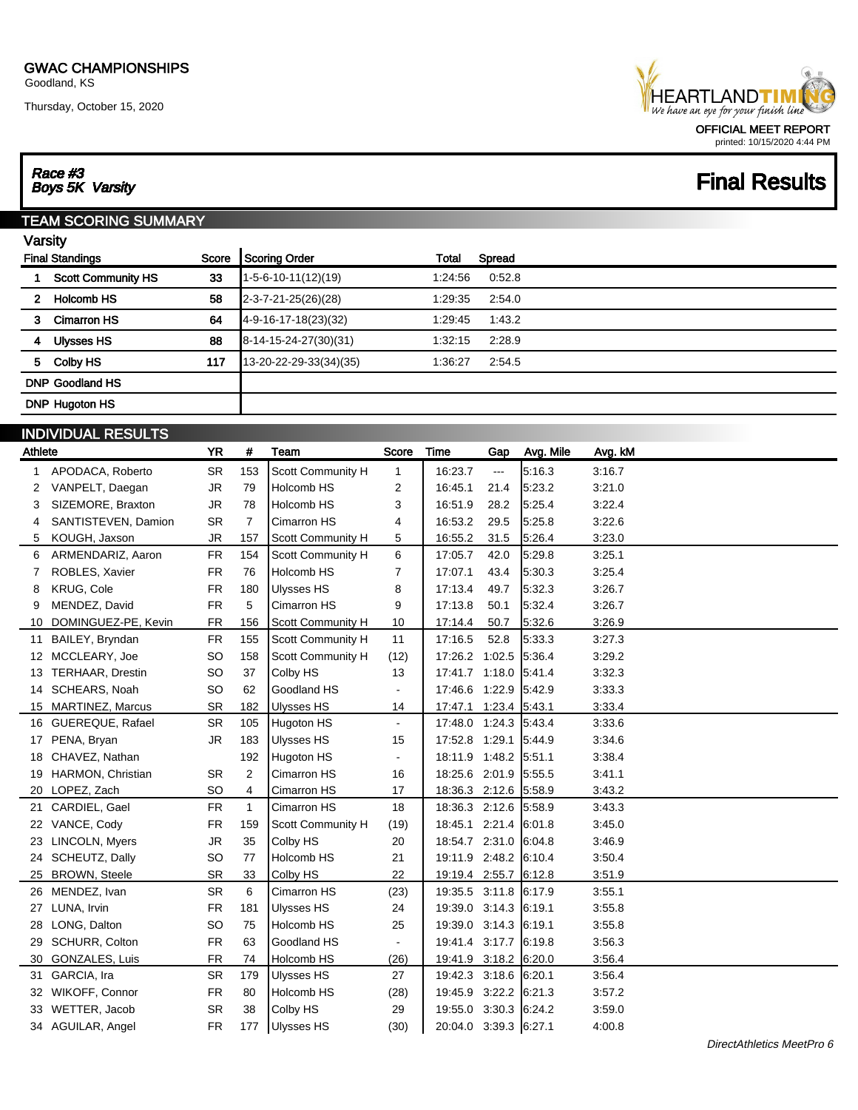Thursday, October 15, 2020



## **Final Results**

# Race #3<br>Boys 5K Varsity

#### TEAM SCORING SUMMARY

|                       | <b>Final Standings</b>    | Score | <b>Scoring Order</b>      | <b>Total</b> | Spread |  |
|-----------------------|---------------------------|-------|---------------------------|--------------|--------|--|
|                       | <b>Scott Community HS</b> | 33    | $1-5-6-10-11(12)(19)$     | 1:24:56      | 0.52.8 |  |
| $\mathbf{2}$          | <b>Holcomb HS</b>         | 58    | 2-3-7-21-25(26)(28)       | 1:29:35      | 2:54.0 |  |
| 3                     | <b>Cimarron HS</b>        | 64    | 4-9-16-17-18(23)(32)      | 1:29:45      | 1:43.2 |  |
| 4                     | Ulysses HS                | 88    | $ 8-14-15-24-27(30)(31) $ | 1:32:15      | 2:28.9 |  |
| 5                     | Colby HS                  | 117   | 13-20-22-29-33(34)(35)    | 1:36:27      | 2:54.5 |  |
|                       | <b>DNP Goodland HS</b>    |       |                           |              |        |  |
| <b>DNP Hugoton HS</b> |                           |       |                           |              |        |  |
|                       | 1.101111111100011178      |       |                           |              |        |  |

|         | <b>INDIVIDUAL RESULTS</b> |           |                |                          |                |                       |                      |           |         |
|---------|---------------------------|-----------|----------------|--------------------------|----------------|-----------------------|----------------------|-----------|---------|
| Athlete |                           | <b>YR</b> | #              | Team                     | Score          | <b>Time</b>           | Gap                  | Avg. Mile | Avg. kM |
| 1       | APODACA, Roberto          | <b>SR</b> | 153            | Scott Community H        | $\mathbf{1}$   | 16:23.7               | $\sim$ $\sim$ $\sim$ | 5:16.3    | 3:16.7  |
| 2       | VANPELT, Daegan           | JR        | 79             | Holcomb HS               | 2              | 16:45.1               | 21.4                 | 5:23.2    | 3:21.0  |
| 3       | SIZEMORE, Braxton         | <b>JR</b> | 78             | Holcomb HS               | 3              | 16:51.9               | 28.2                 | 5.25.4    | 3:22.4  |
| 4       | SANTISTEVEN, Damion       | <b>SR</b> | $\overline{7}$ | Cimarron HS              | 4              | 16:53.2               | 29.5                 | 5:25.8    | 3:22.6  |
| 5       | KOUGH, Jaxson             | <b>JR</b> | 157            | Scott Community H        | 5              | 16:55.2               | 31.5                 | 5:26.4    | 3:23.0  |
| 6       | ARMENDARIZ, Aaron         | <b>FR</b> | 154            | Scott Community H        | 6              | 17:05.7               | 42.0                 | 5.29.8    | 3:25.1  |
|         | ROBLES, Xavier            | <b>FR</b> | 76             | Holcomb HS               | 7              | 17:07.1               | 43.4                 | 5:30.3    | 3:25.4  |
| 8       | <b>KRUG, Cole</b>         | <b>FR</b> | 180            | <b>Ulysses HS</b>        | 8              | 17:13.4               | 49.7                 | 5:32.3    | 3:26.7  |
| 9       | MENDEZ, David             | <b>FR</b> | 5              | Cimarron HS              | 9              | 17:13.8               | 50.1                 | 5:32.4    | 3:26.7  |
| 10      | DOMINGUEZ-PE, Kevin       | <b>FR</b> | 156            | Scott Community H        | 10             | 17:14.4               | 50.7                 | 5:32.6    | 3:26.9  |
| 11      | BAILEY, Bryndan           | <b>FR</b> | 155            | Scott Community H        | 11             | 17:16.5               | 52.8                 | 5:33.3    | 3:27.3  |
| 12      | MCCLEARY, Joe             | <b>SO</b> | 158            | <b>Scott Community H</b> | (12)           | 17:26.2 1:02.5        |                      | 5.36.4    | 3:29.2  |
| 13      | <b>TERHAAR, Drestin</b>   | <b>SO</b> | 37             | Colby HS                 | 13             | 17:41.7 1:18.0        |                      | 5.41.4    | 3:32.3  |
| 14      | <b>SCHEARS, Noah</b>      | <b>SO</b> | 62             | Goodland HS              | $\blacksquare$ | 17:46.6 1:22.9        |                      | 5.42.9    | 3:33.3  |
| 15      | <b>MARTINEZ, Marcus</b>   | <b>SR</b> | 182            | <b>Ulysses HS</b>        | 14             | 17:47.1 1:23.4        |                      | 5:43.1    | 3:33.4  |
| 16      | <b>GUEREQUE, Rafael</b>   | <b>SR</b> | 105            | Hugoton HS               | $\blacksquare$ | 17:48.0 1:24.3        |                      | 5:43.4    | 3:33.6  |
| 17      | PENA, Bryan               | <b>JR</b> | 183            | <b>Ulysses HS</b>        | 15             | 17:52.8 1:29.1        |                      | 5:44.9    | 3:34.6  |
| 18      | CHAVEZ, Nathan            |           | 192            | Hugoton HS               | $\overline{a}$ | 18:11.9 1:48.2        |                      | 5:51.1    | 3:38.4  |
| 19      | HARMON, Christian         | <b>SR</b> | 2              | Cimarron HS              | 16             | 18:25.6 2:01.9        |                      | 5:55.5    | 3:41.1  |
| 20      | LOPEZ, Zach               | <b>SO</b> | 4              | Cimarron HS              | 17             | 18:36.3 2:12.6 5:58.9 |                      |           | 3:43.2  |
| 21      | CARDIEL, Gael             | <b>FR</b> | $\mathbf{1}$   | Cimarron HS              | 18             | 18:36.3 2:12.6        |                      | 5:58.9    | 3:43.3  |
| 22      | VANCE, Cody               | <b>FR</b> | 159            | Scott Community H        | (19)           | 18:45.1 2:21.4        |                      | 6:01.8    | 3:45.0  |
| 23      | LINCOLN, Myers            | JR        | 35             | Colby HS                 | 20             | 18:54.7 2:31.0        |                      | 6.04.8    | 3:46.9  |
| 24      | SCHEUTZ, Dally            | <b>SO</b> | 77             | Holcomb HS               | 21             | 19:11.9 2:48.2        |                      | 6:10.4    | 3:50.4  |
| 25      | <b>BROWN, Steele</b>      | <b>SR</b> | 33             | Colby HS                 | 22             | 19:19.4 2:55.7        |                      | 6.12.8    | 3:51.9  |
|         | 26 MENDEZ, Ivan           | <b>SR</b> | 6              | Cimarron HS              | (23)           | 19:35.5 3:11.8        |                      | 6.17.9    | 3:55.1  |
| 27      | LUNA, Irvin               | <b>FR</b> | 181            | <b>Ulysses HS</b>        | 24             | 19:39.0 3:14.3        |                      | 6:19.1    | 3:55.8  |
| 28      | LONG, Dalton              | <b>SO</b> | 75             | Holcomb HS               | 25             | 19:39.0 3:14.3        |                      | 6:19.1    | 3:55.8  |
| 29      | SCHURR, Colton            | <b>FR</b> | 63             | Goodland HS              |                | 19:41.4 3:17.7        |                      | 6:19.8    | 3:56.3  |
| 30      | <b>GONZALES, Luis</b>     | <b>FR</b> | 74             | Holcomb HS               | (26)           | 19:41.9 3:18.2 6:20.0 |                      |           | 3:56.4  |
| 31      | GARCIA, Ira               | <b>SR</b> | 179            | Ulysses HS               | 27             | 19:42.3 3:18.6        |                      | 6:20.1    | 3:56.4  |
| 32      | WIKOFF, Connor            | <b>FR</b> | 80             | Holcomb HS               | (28)           | 19:45.9 3:22.2 6:21.3 |                      |           | 3:57.2  |
| 33      | WETTER, Jacob             | <b>SR</b> | 38             | Colby HS                 | 29             | 19:55.0 3:30.3        |                      | 6:24.2    | 3:59.0  |
|         | 34 AGUILAR, Angel         | <b>FR</b> | 177            | <b>Ulysses HS</b>        | (30)           | 20:04.0 3:39.3 6:27.1 |                      |           | 4:00.8  |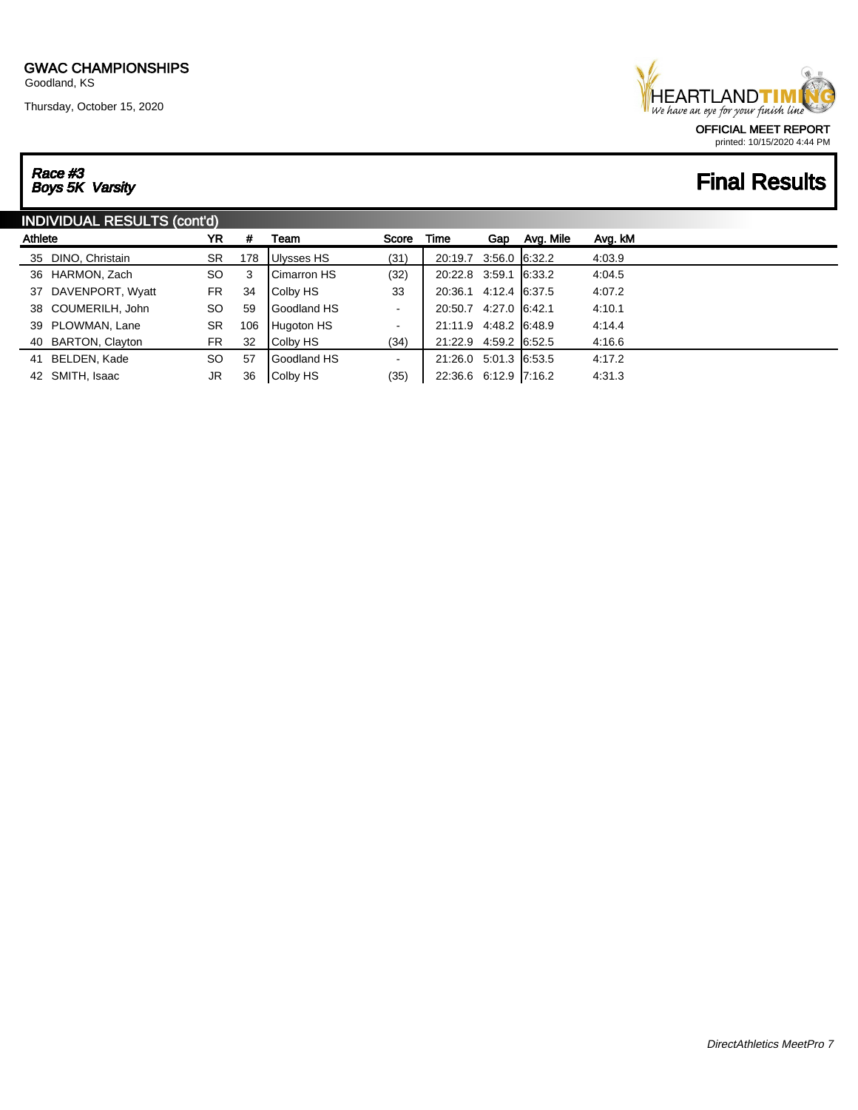Thursday, October 15, 2020

### **HEARTLANDTI** We have an eye for your finish line OFFICIAL MEET REPORT printed: 10/15/2020 4:44 PM

# Race #3<br>Boys 5K Varsity

# **Final Results**

| <b>INDIVIDUAL RESULTS (cont'd)</b> |                     |           |     |                                                      |                |                       |  |  |        |
|------------------------------------|---------------------|-----------|-----|------------------------------------------------------|----------------|-----------------------|--|--|--------|
| Athlete                            |                     | YR        | #   | Avg. kM<br>Avg. Mile<br>Time<br>Score<br>Team<br>Gap |                |                       |  |  |        |
|                                    | 35 DINO, Christain  | <b>SR</b> | 178 | Ulysses HS                                           | (31)           | 20:19.7 3:56.0 6:32.2 |  |  | 4:03.9 |
|                                    | 36 HARMON, Zach     | <b>SO</b> | 3   | Cimarron HS                                          | (32)           | 20:22.8 3:59.1 6:33.2 |  |  | 4:04.5 |
|                                    | 37 DAVENPORT, Wyatt | <b>FR</b> | 34  | Colby HS                                             | 33             | 20:36.1 4:12.4 6:37.5 |  |  | 4:07.2 |
|                                    | 38 COUMERILH, John  | SO.       | 59  | Goodland HS                                          | ٠              | 20:50.7 4:27.0 6:42.1 |  |  | 4:10.1 |
|                                    | 39 PLOWMAN, Lane    | SR        | 106 | Hugoton HS                                           | $\blacksquare$ | 21:11.9 4:48.2 6:48.9 |  |  | 4:14.4 |
|                                    | 40 BARTON, Clayton  | <b>FR</b> | 32  | Colby HS                                             | (34)           | 21:22.9 4:59.2 6:52.5 |  |  | 4.16.6 |
| 41                                 | BELDEN, Kade        | SO.       | 57  | Goodland HS                                          | ۰.             | 21:26.0 5:01.3 6:53.5 |  |  | 4:17.2 |
|                                    | 42 SMITH, Isaac     | JR        | 36  | Colby HS                                             | (35)           | 22:36.6 6:12.9 7:16.2 |  |  | 4:31.3 |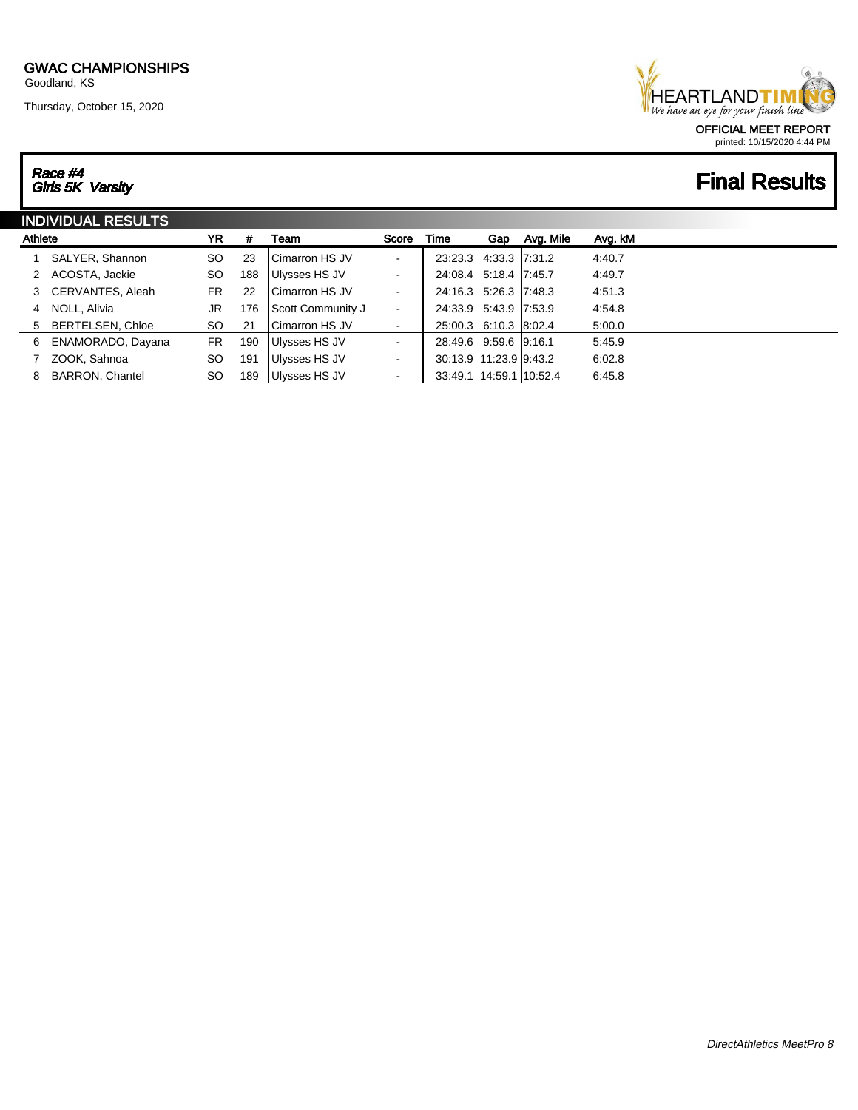Thursday, October 15, 2020

### **HEARTLANDTIM** We have an eye for your finish line OFFICIAL MEET REPORT printed: 10/15/2020 4:44 PM

# **Final Results**

# Race #4<br>Girls 5K Varsity

| <b>INDIVIDUAL RESULTS</b> |                        |           |     |                         |                |                         |     |           |         |
|---------------------------|------------------------|-----------|-----|-------------------------|----------------|-------------------------|-----|-----------|---------|
| Athlete                   |                        | YR        | #   | Team                    | Score          | Time                    | Gap | Avg. Mile | Avg. kM |
|                           | SALYER, Shannon        | SO.       | 23  | <b>I</b> Cimarron HS JV | $\sim$         | 23:23.3 4:33.3 7:31.2   |     |           | 4:40.7  |
|                           | 2 ACOSTA, Jackie       | <b>SO</b> | 188 | Ulysses HS JV           | $\sim$         | 24:08.4 5:18.4 7:45.7   |     |           | 4:49.7  |
|                           | 3 CERVANTES, Aleah     | FR.       | 22  | <b>ICimarron HS JV</b>  | $\sim$         | 24:16.3 5:26.3 7:48.3   |     |           | 4:51.3  |
| 4                         | NOLL, Alivia           | JR        | 176 | Scott Community J       | $\sim$         | 24:33.9 5:43.9 7:53.9   |     |           | 4:54.8  |
|                           | 5 BERTELSEN, Chloe     | SO.       | 21  | Cimarron HS JV          | $\blacksquare$ | 25:00.3 6:10.3 8:02.4   |     |           | 5:00.0  |
| 6                         | ENAMORADO, Dayana      | <b>FR</b> | 190 | Ulysses HS JV           | $\sim$         | 28:49.6 9:59.6 9:16.1   |     |           | 5:45.9  |
|                           | ZOOK, Sahnoa           | <b>SO</b> | 191 | Ulysses HS JV           | $\blacksquare$ | 30:13.9 11:23.9 9:43.2  |     |           | 6:02.8  |
| 8                         | <b>BARRON, Chantel</b> | <b>SO</b> | 189 | Ulysses HS JV           | $\sim$         | 33:49.1 14:59.1 10:52.4 |     |           | 6:45.8  |